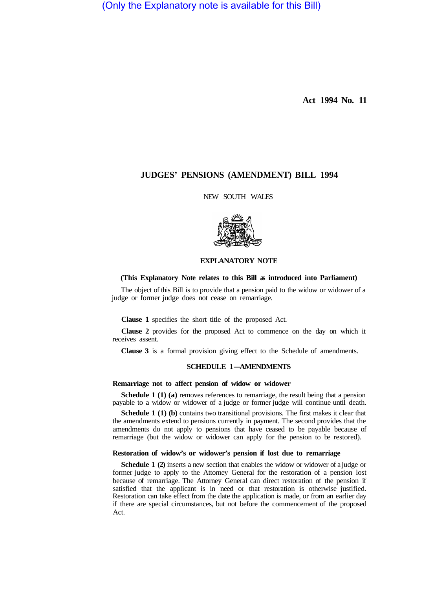(Only the Explanatory note is available for this Bill)

**Act 1994 No. 11** 

# **JUDGES' PENSIONS (AMENDMENT) BILL 1994**

NEW SOUTH WALES



#### **EXPLANATORY NOTE**

### **(This Explanatory Note relates to this Bill as introduced into Parliament)**

The object of this Bill is to provide that a pension paid to the widow or widower of a judge or former judge does not cease on remarriage.

**Clause 1** specifies the short title of the proposed Act.

**Clause 2** provides for the proposed Act to commence on the day on which it receives assent.

**Clause 3** is a formal provision giving effect to the Schedule of amendments.

## **SCHEDULE 1-AMENDMENTS**

### **Remarriage not to affect pension of widow or widower**

**Schedule 1 (1) (a)** removes references to remarriage, the result being that a pension payable to a widow or widower of a judge or former judge will continue until death.

**Schedule 1 (1) (b)** contains two transitional provisions. The first makes it clear that the amendments extend to pensions currently in payment. The second provides that the amendments do not apply to pensions that have ceased to be payable because of remarriage (but the widow or widower can apply for the pension to be restored).

### **Restoration of widow's or widower's pension if lost due to remarriage**

**Schedule 1 (2)** inserts a new section that enables the widow or widower of a judge or former judge to apply to the Attorney General for the restoration of a pension lost because of remarriage. The Attorney General can direct restoration of the pension if satisfied that the applicant is in need or that restoration is otherwise justified. Restoration can take effect from the date the application is made, or from an earlier day if there are special circumstances, but not before the commencement of the proposed Act.